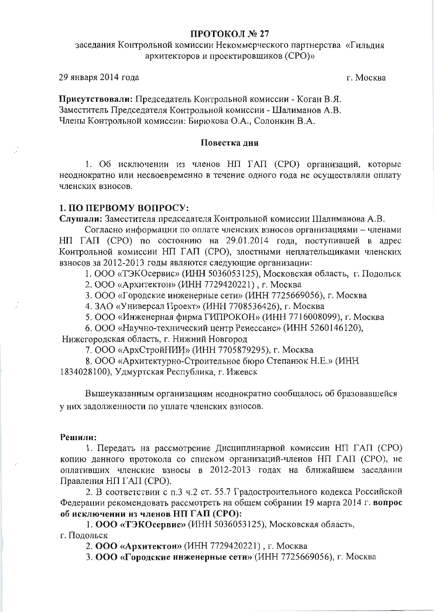#### ПРОТОКОЛ № 27

# заседания Контрольной комиссии Некоммерческого партнерства «Гильдия архитекторов и проектировщиков (CPO)»

29 января 2014 года

г. Москва

Присутствовали: Председатель Контрольной комиссии - Коган В.Я. Заместитель Председателя Контрольной комиссии - Шалиманов А.В. Члены Контрольной комиссии: Бирюкова О.А., Солонкин В.А.

#### Повестка дня

1. Об исключении из членов НП ГАП (СРО) организаций, которые неоднократно или несвоевременно в течение одного года не осуществляли оплату членских взносов.

### 1. ПО ПЕРВОМУ ВОПРОСУ:

Слушали: Заместителя председателя Контрольной комиссии Шалиманова А.В.

Согласно информации по оплате членских взносов организациями - членами НП ГАП (СРО) по состоянию на 29.01.2014 года, поступившей в адрес Контрольной комиссии НП ГАП (СРО), злостными неплательщиками членских взносов за 2012-2013 годы являются следующие организации:

1. ООО «ТЭКОсервис» (ИНН 5036053125), Московская область, г. Подольск

2. ООО «Архитектон» (ИНН 7729420221), г. Москва

3. ООО «Городские инженерные сети» (ИНН 7725669056), г. Москва

4. ЗАО «Универсал Проект» (ИНН 7708536426), г. Москва

5. ООО «Инженерная фирма ГИПРОКОН» (ИНН 7716008099), г. Москва

6. ООО «Научно-технический центр Ренессанс» (ИНН 5260146120),

Нижегородская область, г. Нижний Новгород

7. ООО «АрхСтройНИИ» (ИНН 7705879295), г. Москва

8. ООО «Архитектурно-Строительное бюро Степанюк Н.Е.» (ИНН 1834028100), Удмуртская Республика, г. Ижевск

Вышеуказанным организациям неоднократно сообщалось об бразовавшейся у них задолженности по уплате членских взносов.

#### Решили:

1. Передать на рассмотрение Дисциплинарной комиссии НП ГАП (СРО) копию данного протокола со списком организаций-членов НП ГАП (СРО), не оплативших членские взносы в 2012-2013 годах на ближайшем заседании Правления НП ГАП (СРО).

2. В соответствии с п.3 ч.2 ст. 55.7 Градостроительного кодекса Российской Федерации рекомендовать рассмотреть на общем собрании 19 марта 2014 г. вопрос об исключении из членов НП ГАП (СРО):

1. ООО «ТЭКОсервис» (ИНН 5036053125), Московская область, г. Подольск

2. ООО «Архитектон» (ИНН 7729420221), г. Москва

3. ООО «Городские инженерные сети» (ИНН 7725669056), г. Москва